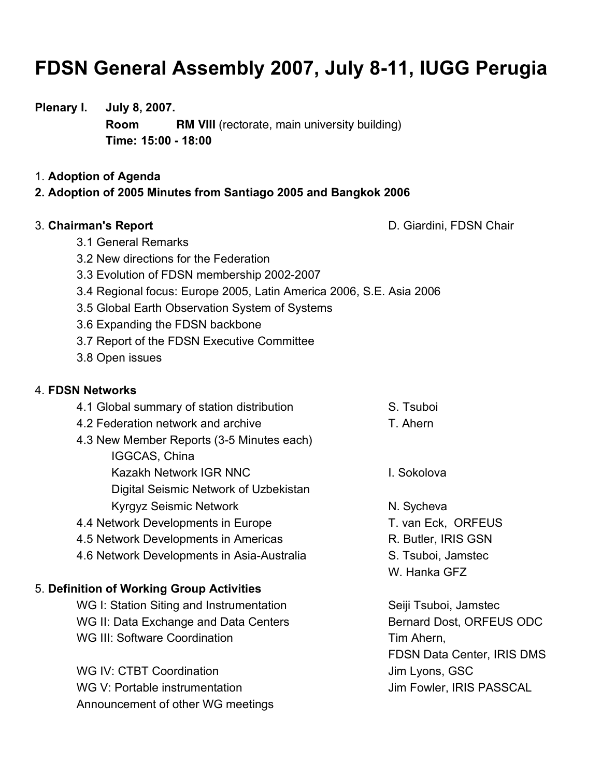# **FDSN General Assembly 2007, July 8-11, IUGG Perugia**

# **Plenary I. July 8, 2007.**

**Room RM VIII** (rectorate, main university building) **Time: 15:00 - 18:00**

### 1. **Adoption of Agenda**

# **2. Adoption of 2005 Minutes from Santiago 2005 and Bangkok 2006**

3. **Chairman's Report** D. Giardini, FDSN Chair

- 3.1 General Remarks
- 3.2 New directions for the Federation
- 3.3 Evolution of FDSN membership 2002-2007
- 3.4 Regional focus: Europe 2005, Latin America 2006, S.E. Asia 2006
- 3.5 Global Earth Observation System of Systems
- 3.6 Expanding the FDSN backbone
- 3.7 Report of the FDSN Executive Committee
- 3.8 Open issues

# 4. **FDSN Networks**

| 4.1 Global summary of station distribution | S. Tsuboi           |
|--------------------------------------------|---------------------|
| 4.2 Federation network and archive         | T. Ahern            |
| 4.3 New Member Reports (3-5 Minutes each)  |                     |
| IGGCAS, China                              |                     |
| Kazakh Network IGR NNC                     | I. Sokolova         |
| Digital Seismic Network of Uzbekistan      |                     |
| <b>Kyrgyz Seismic Network</b>              | N. Sycheva          |
| 4.4 Network Developments in Europe         | T. van Eck, ORFEUS  |
| 4.5 Network Developments in Americas       | R. Butler, IRIS GSN |
|                                            |                     |

4.6 Network Developments in Asia-Australia S. Tsuboi, Jamstec

# 5. **Definition of Working Group Activities**

WG I: Station Siting and Instrumentation Seiji Tsuboi, Jamstec WG II: Data Exchange and Data Centers Bernard Dost, ORFEUS ODC WG III: Software Coordination Tim Ahern,

WG IV: CTBT Coordination and American state of the Using Uim Lyons, GSC WG V: Portable instrumentation US November 10 Jim Fowler, IRIS PASSCAL Announcement of other WG meetings

FDSN Data Center, IRIS DMS

W. Hanka GFZ